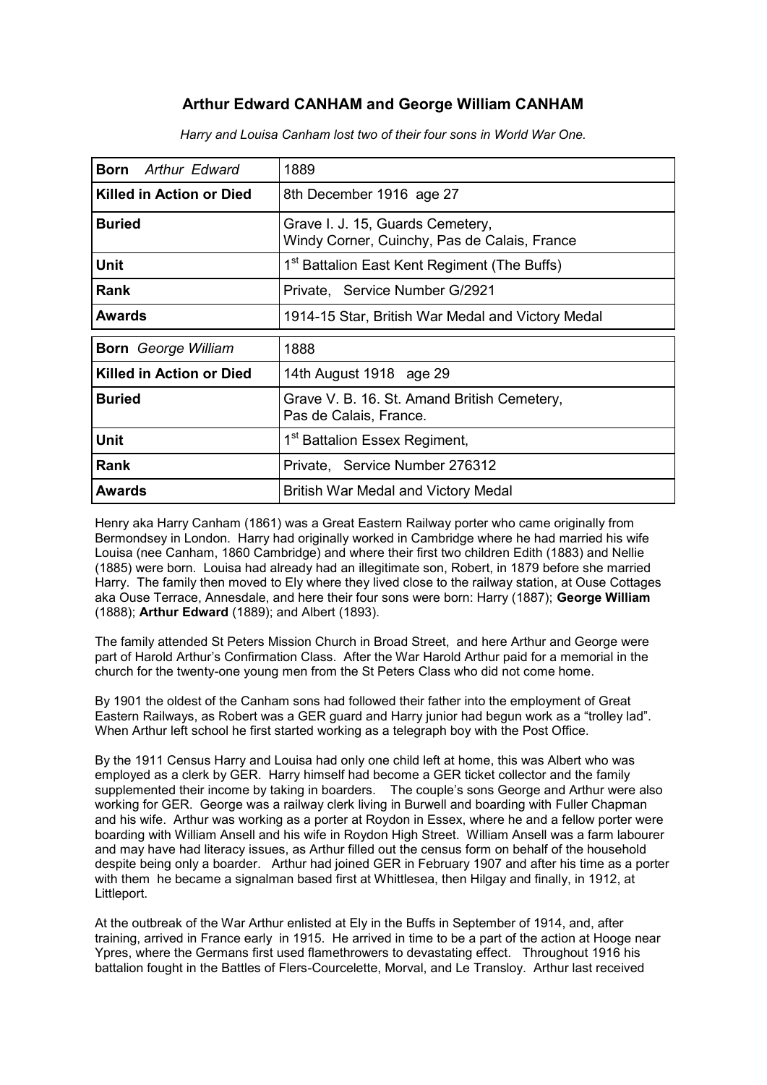# **Arthur Edward CANHAM and George William CANHAM**

| <b>Born</b> Arthur Edward       | 1889                                                                             |  |
|---------------------------------|----------------------------------------------------------------------------------|--|
| Killed in Action or Died        | 8th December 1916 age 27                                                         |  |
| <b>Buried</b>                   | Grave I. J. 15, Guards Cemetery,<br>Windy Corner, Cuinchy, Pas de Calais, France |  |
| Unit                            | 1 <sup>st</sup> Battalion East Kent Regiment (The Buffs)                         |  |
| <b>Rank</b>                     | Private, Service Number G/2921                                                   |  |
| Awards                          | 1914-15 Star, British War Medal and Victory Medal                                |  |
| <b>Born</b> George William      | 1888                                                                             |  |
| <b>Killed in Action or Died</b> | 14th August 1918 age 29                                                          |  |
| <b>Buried</b>                   | Grave V. B. 16. St. Amand British Cemetery,<br>Pas de Calais, France.            |  |
| <b>Unit</b>                     | 1 <sup>st</sup> Battalion Essex Regiment,                                        |  |
| <b>Rank</b>                     | Private, Service Number 276312                                                   |  |
|                                 |                                                                                  |  |

*Harry and Louisa Canham lost two of their four sons in World War One.*

Henry aka Harry Canham (1861) was a Great Eastern Railway porter who came originally from Bermondsey in London. Harry had originally worked in Cambridge where he had married his wife Louisa (nee Canham, 1860 Cambridge) and where their first two children Edith (1883) and Nellie (1885) were born. Louisa had already had an illegitimate son, Robert, in 1879 before she married Harry. The family then moved to Ely where they lived close to the railway station, at Ouse Cottages aka Ouse Terrace, Annesdale, and here their four sons were born: Harry (1887); **George William**  (1888); **Arthur Edward** (1889); and Albert (1893).

The family attended St Peters Mission Church in Broad Street, and here Arthur and George were part of Harold Arthur's Confirmation Class. After the War Harold Arthur paid for a memorial in the church for the twenty-one young men from the St Peters Class who did not come home.

By 1901 the oldest of the Canham sons had followed their father into the employment of Great Eastern Railways, as Robert was a GER guard and Harry junior had begun work as a "trolley lad". When Arthur left school he first started working as a telegraph boy with the Post Office.

By the 1911 Census Harry and Louisa had only one child left at home, this was Albert who was employed as a clerk by GER. Harry himself had become a GER ticket collector and the family supplemented their income by taking in boarders. The couple's sons George and Arthur were also working for GER. George was a railway clerk living in Burwell and boarding with Fuller Chapman and his wife. Arthur was working as a porter at Roydon in Essex, where he and a fellow porter were boarding with William Ansell and his wife in Roydon High Street. William Ansell was a farm labourer and may have had literacy issues, as Arthur filled out the census form on behalf of the household despite being only a boarder. Arthur had joined GER in February 1907 and after his time as a porter with them he became a signalman based first at Whittlesea, then Hilgay and finally, in 1912, at Littleport.

At the outbreak of the War Arthur enlisted at Ely in the Buffs in September of 1914, and, after training, arrived in France early in 1915. He arrived in time to be a part of the action at Hooge near Ypres, where the Germans first used flamethrowers to devastating effect. Throughout 1916 his battalion fought in the Battles of Flers-Courcelette, Morval, and Le Transloy. Arthur last received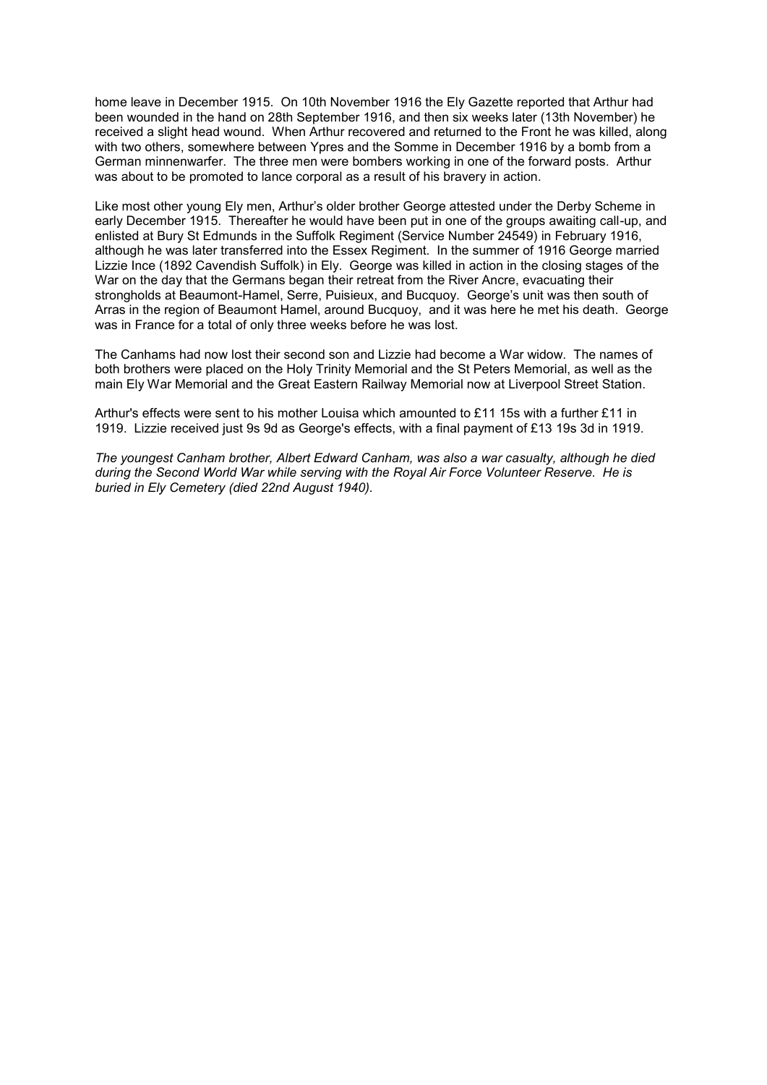home leave in December 1915. On 10th November 1916 the Ely Gazette reported that Arthur had been wounded in the hand on 28th September 1916, and then six weeks later (13th November) he received a slight head wound. When Arthur recovered and returned to the Front he was killed, along with two others, somewhere between Ypres and the Somme in December 1916 by a bomb from a German minnenwarfer. The three men were bombers working in one of the forward posts. Arthur was about to be promoted to lance corporal as a result of his bravery in action.

Like most other young Ely men, Arthur's older brother George attested under the Derby Scheme in early December 1915. Thereafter he would have been put in one of the groups awaiting call-up, and enlisted at Bury St Edmunds in the Suffolk Regiment (Service Number 24549) in February 1916, although he was later transferred into the Essex Regiment. In the summer of 1916 George married Lizzie Ince (1892 Cavendish Suffolk) in Ely. George was killed in action in the closing stages of the War on the day that the Germans began their retreat from the River Ancre, evacuating their strongholds at Beaumont-Hamel, Serre, Puisieux, and Bucquoy. George's unit was then south of Arras in the region of Beaumont Hamel, around Bucquoy, and it was here he met his death. George was in France for a total of only three weeks before he was lost.

The Canhams had now lost their second son and Lizzie had become a War widow. The names of both brothers were placed on the Holy Trinity Memorial and the St Peters Memorial, as well as the main Ely War Memorial and the Great Eastern Railway Memorial now at Liverpool Street Station.

Arthur's effects were sent to his mother Louisa which amounted to £11 15s with a further £11 in 1919. Lizzie received just 9s 9d as George's effects, with a final payment of £13 19s 3d in 1919.

*The youngest Canham brother, Albert Edward Canham, was also a war casualty, although he died during the Second World War while serving with the Royal Air Force Volunteer Reserve. He is buried in Ely Cemetery (died 22nd August 1940).*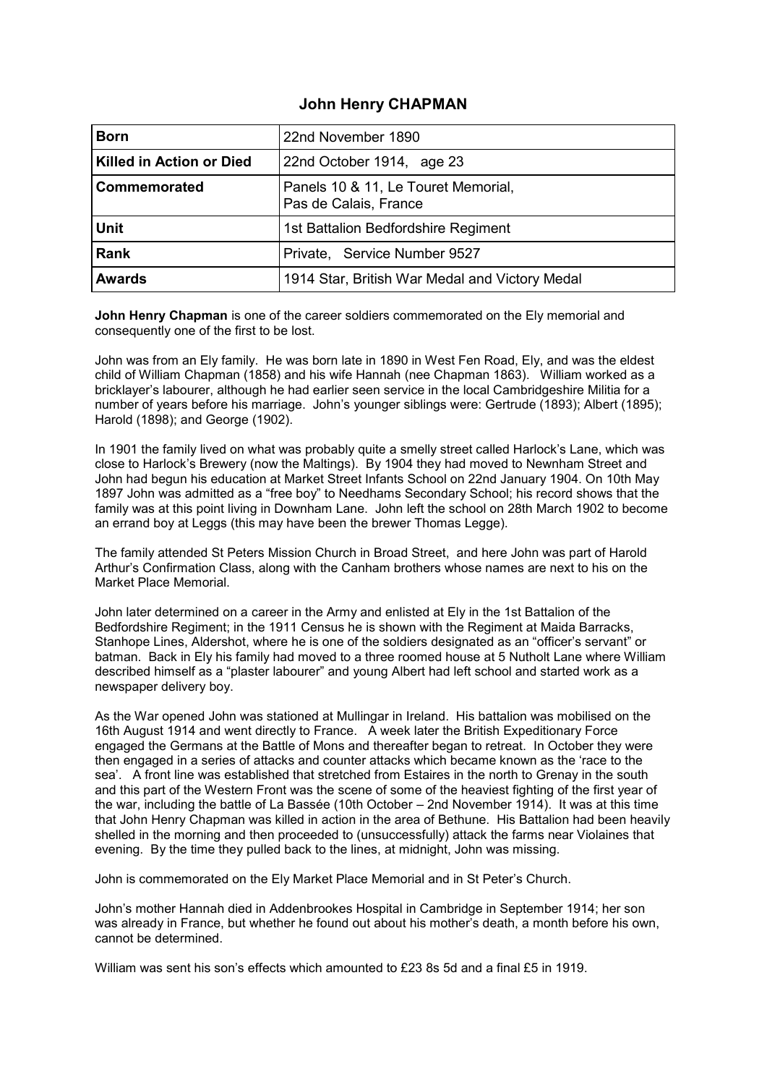#### **John Henry CHAPMAN**

| <b>Born</b>                     | 22nd November 1890                                           |  |
|---------------------------------|--------------------------------------------------------------|--|
| <b>Killed in Action or Died</b> | 22nd October 1914, age 23                                    |  |
| <b>Commemorated</b>             | Panels 10 & 11, Le Touret Memorial,<br>Pas de Calais, France |  |
| <b>Unit</b>                     | 1st Battalion Bedfordshire Regiment                          |  |
| <b>Rank</b>                     | Private, Service Number 9527                                 |  |
| <b>Awards</b>                   | 1914 Star, British War Medal and Victory Medal               |  |

**John Henry Chapman** is one of the career soldiers commemorated on the Ely memorial and consequently one of the first to be lost.

John was from an Ely family. He was born late in 1890 in West Fen Road, Ely, and was the eldest child of William Chapman (1858) and his wife Hannah (nee Chapman 1863). William worked as a bricklayer's labourer, although he had earlier seen service in the local Cambridgeshire Militia for a number of years before his marriage. John's younger siblings were: Gertrude (1893); Albert (1895); Harold (1898); and George (1902).

In 1901 the family lived on what was probably quite a smelly street called Harlock's Lane, which was close to Harlock's Brewery (now the Maltings). By 1904 they had moved to Newnham Street and John had begun his education at Market Street Infants School on 22nd January 1904. On 10th May 1897 John was admitted as a "free boy" to Needhams Secondary School; his record shows that the family was at this point living in Downham Lane. John left the school on 28th March 1902 to become an errand boy at Leggs (this may have been the brewer Thomas Legge).

The family attended St Peters Mission Church in Broad Street, and here John was part of Harold Arthur's Confirmation Class, along with the Canham brothers whose names are next to his on the Market Place Memorial.

John later determined on a career in the Army and enlisted at Ely in the 1st Battalion of the Bedfordshire Regiment; in the 1911 Census he is shown with the Regiment at Maida Barracks, Stanhope Lines, Aldershot, where he is one of the soldiers designated as an "officer's servant" or batman. Back in Ely his family had moved to a three roomed house at 5 Nutholt Lane where William described himself as a "plaster labourer" and young Albert had left school and started work as a newspaper delivery boy.

As the War opened John was stationed at Mullingar in Ireland. His battalion was mobilised on the 16th August 1914 and went directly to France. A week later the British Expeditionary Force engaged the Germans at the Battle of Mons and thereafter began to retreat. In October they were then engaged in a series of attacks and counter attacks which became known as the 'race to the sea'. A front line was established that stretched from Estaires in the north to Grenay in the south and this part of the Western Front was the scene of some of the heaviest fighting of the first year of the war, including the battle of La Bassée (10th October – 2nd November 1914). It was at this time that John Henry Chapman was killed in action in the area of Bethune. His Battalion had been heavily shelled in the morning and then proceeded to (unsuccessfully) attack the farms near Violaines that evening. By the time they pulled back to the lines, at midnight, John was missing.

John is commemorated on the Ely Market Place Memorial and in St Peter's Church.

John's mother Hannah died in Addenbrookes Hospital in Cambridge in September 1914; her son was already in France, but whether he found out about his mother's death, a month before his own, cannot be determined.

William was sent his son's effects which amounted to £23 8s 5d and a final £5 in 1919.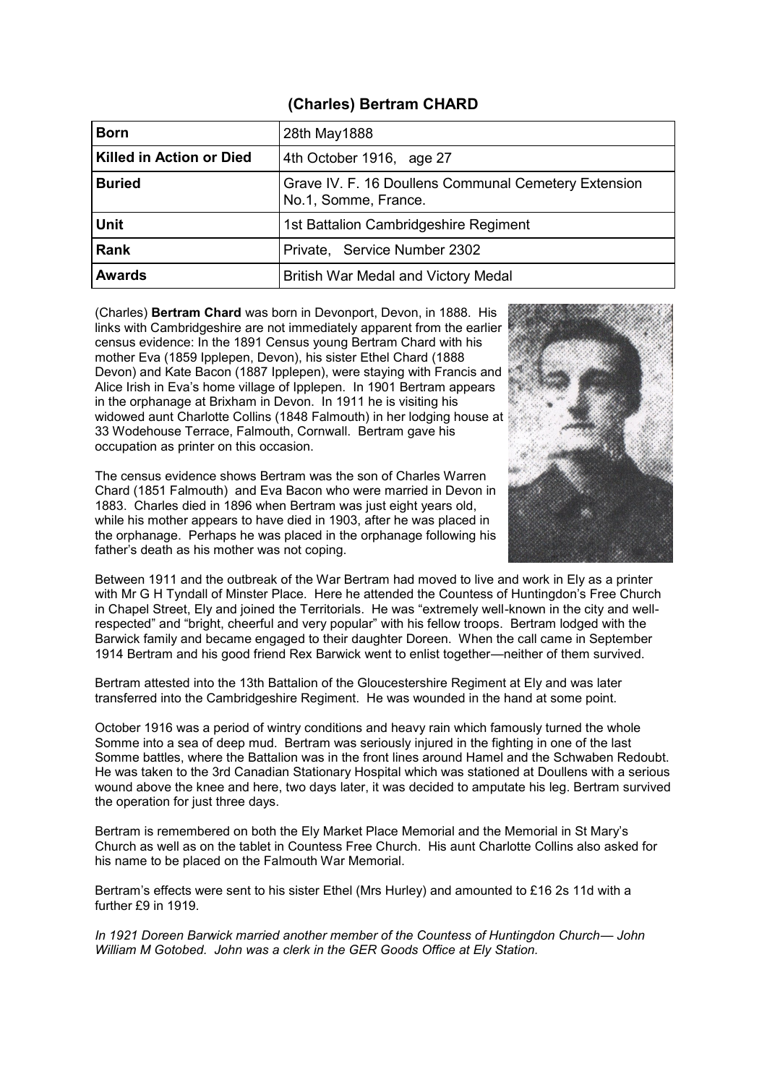## **(Charles) Bertram CHARD**

| <b>Born</b>              | 28th May1888                                                                 |  |
|--------------------------|------------------------------------------------------------------------------|--|
| Killed in Action or Died | 4th October 1916, age 27                                                     |  |
| <b>Buried</b>            | Grave IV. F. 16 Doullens Communal Cemetery Extension<br>No.1, Somme, France. |  |
| <b>Unit</b>              | 1st Battalion Cambridgeshire Regiment                                        |  |
| <b>Rank</b>              | Private, Service Number 2302                                                 |  |
| <b>Awards</b>            | British War Medal and Victory Medal                                          |  |

(Charles) **Bertram Chard** was born in Devonport, Devon, in 1888. His links with Cambridgeshire are not immediately apparent from the earlier census evidence: In the 1891 Census young Bertram Chard with his mother Eva (1859 Ipplepen, Devon), his sister Ethel Chard (1888 Devon) and Kate Bacon (1887 Ipplepen), were staying with Francis and Alice Irish in Eva's home village of Ipplepen. In 1901 Bertram appears in the orphanage at Brixham in Devon. In 1911 he is visiting his widowed aunt Charlotte Collins (1848 Falmouth) in her lodging house at 33 Wodehouse Terrace, Falmouth, Cornwall. Bertram gave his occupation as printer on this occasion.

The census evidence shows Bertram was the son of Charles Warren Chard (1851 Falmouth) and Eva Bacon who were married in Devon in 1883. Charles died in 1896 when Bertram was just eight years old, while his mother appears to have died in 1903, after he was placed in the orphanage. Perhaps he was placed in the orphanage following his father's death as his mother was not coping.



Between 1911 and the outbreak of the War Bertram had moved to live and work in Ely as a printer with Mr G H Tyndall of Minster Place. Here he attended the Countess of Huntingdon's Free Church in Chapel Street, Ely and joined the Territorials. He was "extremely well-known in the city and wellrespected" and "bright, cheerful and very popular" with his fellow troops. Bertram lodged with the Barwick family and became engaged to their daughter Doreen. When the call came in September 1914 Bertram and his good friend Rex Barwick went to enlist together—neither of them survived.

Bertram attested into the 13th Battalion of the Gloucestershire Regiment at Ely and was later transferred into the Cambridgeshire Regiment. He was wounded in the hand at some point.

October 1916 was a period of wintry conditions and heavy rain which famously turned the whole Somme into a sea of deep mud. Bertram was seriously injured in the fighting in one of the last Somme battles, where the Battalion was in the front lines around Hamel and the Schwaben Redoubt. He was taken to the 3rd Canadian Stationary Hospital which was stationed at Doullens with a serious wound above the knee and here, two days later, it was decided to amputate his leg. Bertram survived the operation for just three days.

Bertram is remembered on both the Ely Market Place Memorial and the Memorial in St Mary's Church as well as on the tablet in Countess Free Church. His aunt Charlotte Collins also asked for his name to be placed on the Falmouth War Memorial.

Bertram's effects were sent to his sister Ethel (Mrs Hurley) and amounted to £16 2s 11d with a further £9 in 1919.

*In 1921 Doreen Barwick married another member of the Countess of Huntingdon Church— John William M Gotobed. John was a clerk in the GER Goods Office at Ely Station.*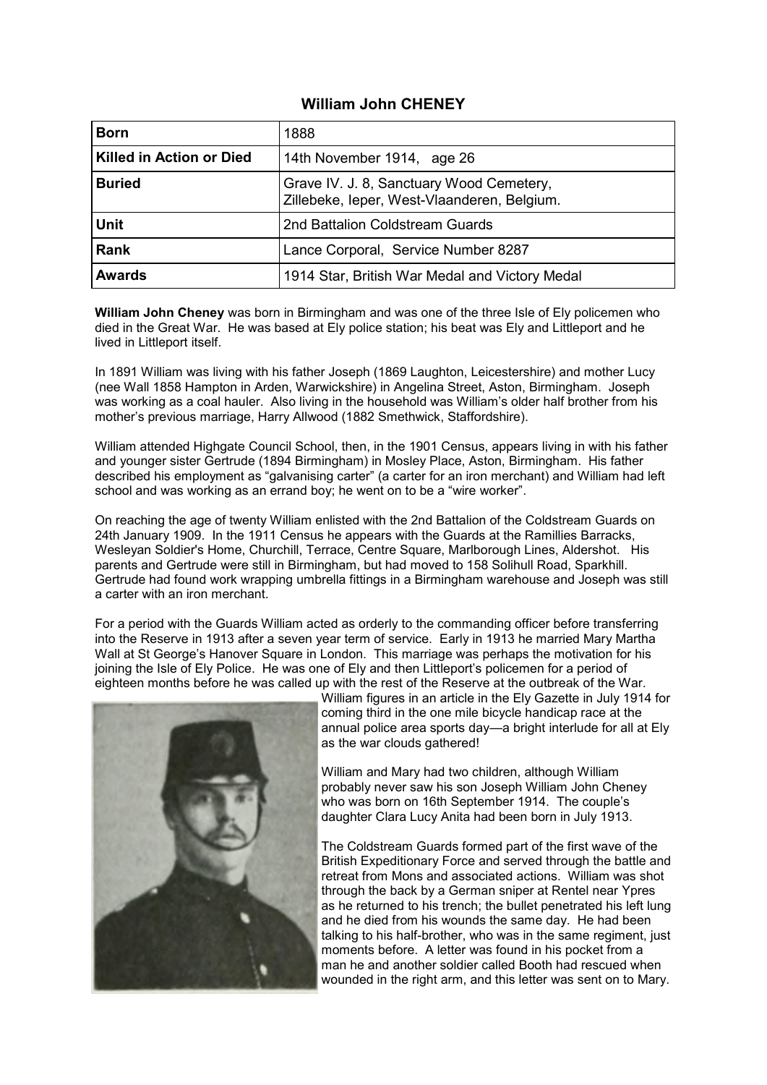## **William John CHENEY**

| <b>Born</b>                     | 1888                                                                                    |  |
|---------------------------------|-----------------------------------------------------------------------------------------|--|
| <b>Killed in Action or Died</b> | 14th November 1914, age 26                                                              |  |
| <b>Buried</b>                   | Grave IV. J. 8, Sanctuary Wood Cemetery,<br>Zillebeke, leper, West-Vlaanderen, Belgium. |  |
| <b>Unit</b>                     | 2nd Battalion Coldstream Guards                                                         |  |
| <b>Rank</b>                     | Lance Corporal, Service Number 8287                                                     |  |
| <b>Awards</b>                   | 1914 Star, British War Medal and Victory Medal                                          |  |

**William John Cheney** was born in Birmingham and was one of the three Isle of Ely policemen who died in the Great War. He was based at Ely police station; his beat was Ely and Littleport and he lived in Littleport itself.

In 1891 William was living with his father Joseph (1869 Laughton, Leicestershire) and mother Lucy (nee Wall 1858 Hampton in Arden, Warwickshire) in Angelina Street, Aston, Birmingham. Joseph was working as a coal hauler. Also living in the household was William's older half brother from his mother's previous marriage, Harry Allwood (1882 Smethwick, Staffordshire).

William attended Highgate Council School, then, in the 1901 Census, appears living in with his father and younger sister Gertrude (1894 Birmingham) in Mosley Place, Aston, Birmingham. His father described his employment as "galvanising carter" (a carter for an iron merchant) and William had left school and was working as an errand boy; he went on to be a "wire worker".

On reaching the age of twenty William enlisted with the 2nd Battalion of the Coldstream Guards on 24th January 1909. In the 1911 Census he appears with the Guards at the Ramillies Barracks, Wesleyan Soldier's Home, Churchill, Terrace, Centre Square, Marlborough Lines, Aldershot. His parents and Gertrude were still in Birmingham, but had moved to 158 Solihull Road, Sparkhill. Gertrude had found work wrapping umbrella fittings in a Birmingham warehouse and Joseph was still a carter with an iron merchant.

For a period with the Guards William acted as orderly to the commanding officer before transferring into the Reserve in 1913 after a seven year term of service. Early in 1913 he married Mary Martha Wall at St George's Hanover Square in London. This marriage was perhaps the motivation for his joining the Isle of Ely Police. He was one of Ely and then Littleport's policemen for a period of eighteen months before he was called up with the rest of the Reserve at the outbreak of the War.



William figures in an article in the Ely Gazette in July 1914 for coming third in the one mile bicycle handicap race at the annual police area sports day—a bright interlude for all at Ely as the war clouds gathered!

William and Mary had two children, although William probably never saw his son Joseph William John Cheney who was born on 16th September 1914. The couple's daughter Clara Lucy Anita had been born in July 1913.

The Coldstream Guards formed part of the first wave of the British Expeditionary Force and served through the battle and retreat from Mons and associated actions. William was shot through the back by a German sniper at Rentel near Ypres as he returned to his trench; the bullet penetrated his left lung and he died from his wounds the same day. He had been talking to his half-brother, who was in the same regiment, just moments before. A letter was found in his pocket from a man he and another soldier called Booth had rescued when wounded in the right arm, and this letter was sent on to Mary.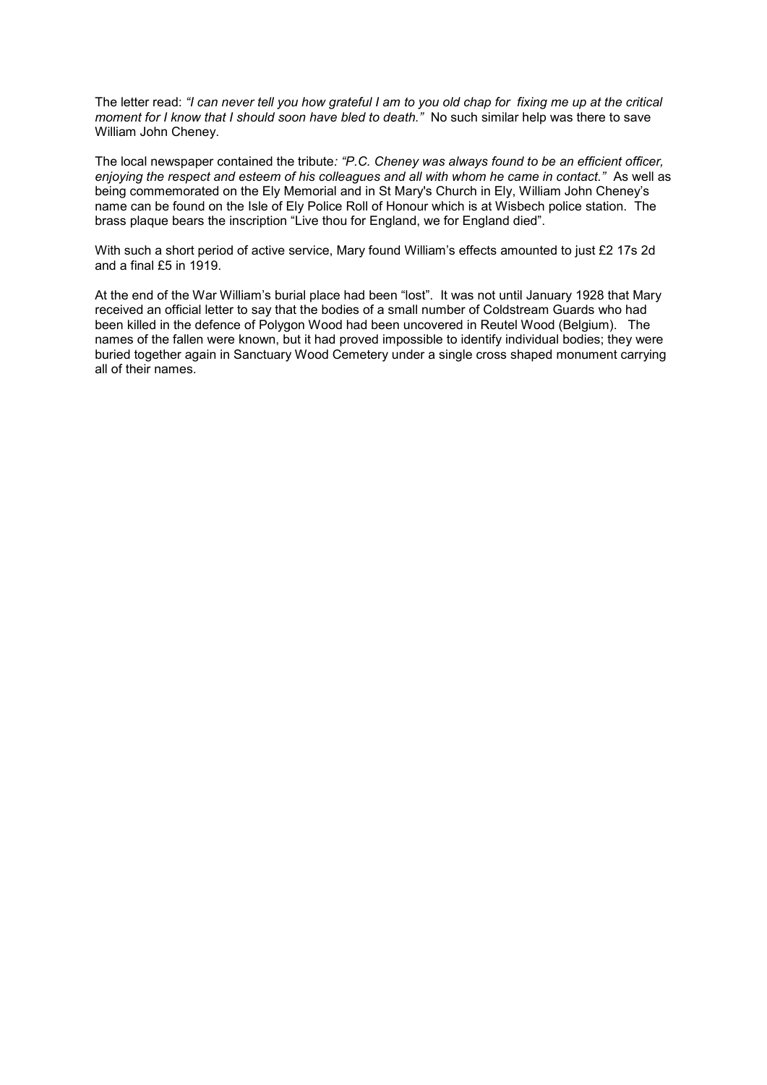The letter read: *"I can never tell you how grateful I am to you old chap for fixing me up at the critical moment for I know that I should soon have bled to death.*" No such similar help was there to save William John Cheney.

The local newspaper contained the tribute*: "P.C. Cheney was always found to be an efficient officer, enjoying the respect and esteem of his colleagues and all with whom he came in contact."* As well as being commemorated on the Ely Memorial and in St Mary's Church in Ely, William John Cheney's name can be found on the Isle of Ely Police Roll of Honour which is at Wisbech police station. The brass plaque bears the inscription "Live thou for England, we for England died".

With such a short period of active service, Mary found William's effects amounted to just £2 17s 2d and a final  $£5$  in 1919.

At the end of the War William's burial place had been "lost". It was not until January 1928 that Mary received an official letter to say that the bodies of a small number of Coldstream Guards who had been killed in the defence of Polygon Wood had been uncovered in Reutel Wood (Belgium). The names of the fallen were known, but it had proved impossible to identify individual bodies; they were buried together again in Sanctuary Wood Cemetery under a single cross shaped monument carrying all of their names.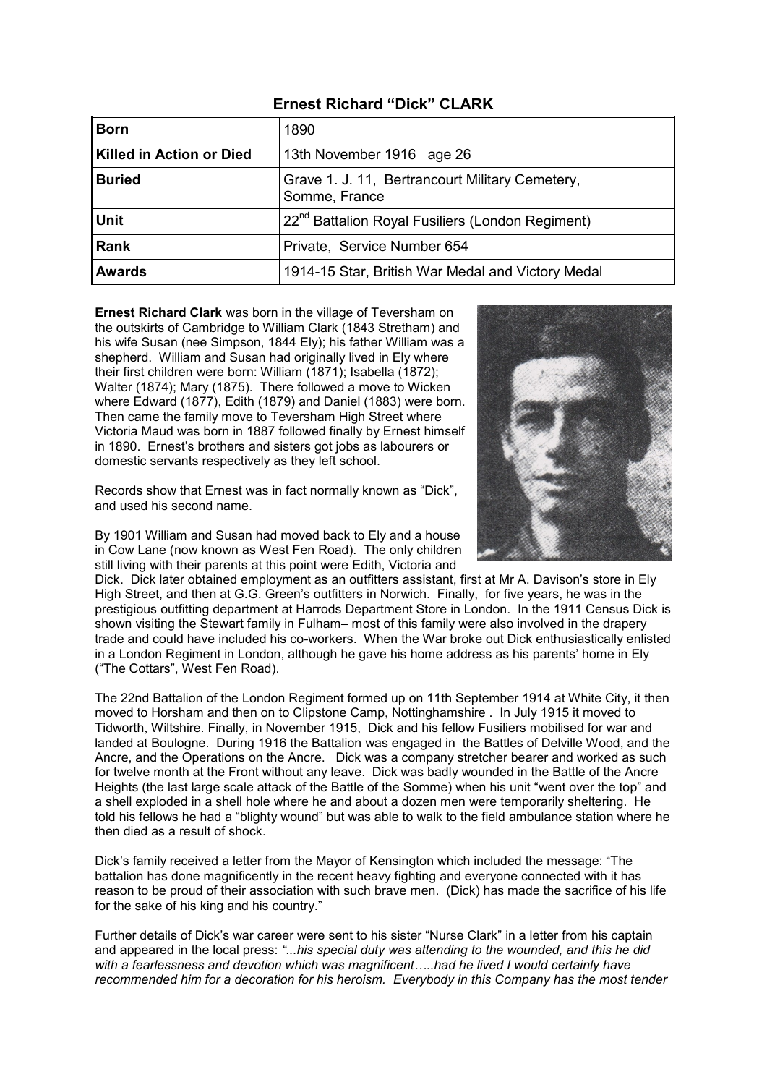| <b>Born</b>                     | 1890                                                             |  |
|---------------------------------|------------------------------------------------------------------|--|
| <b>Killed in Action or Died</b> | 13th November 1916 age 26                                        |  |
| <b>Buried</b>                   | Grave 1. J. 11, Bertrancourt Military Cemetery,<br>Somme, France |  |
| <b>Unit</b>                     | 22 <sup>nd</sup> Battalion Royal Fusiliers (London Regiment)     |  |
| <b>Rank</b>                     | Private, Service Number 654                                      |  |
| <b>Awards</b>                   | 1914-15 Star, British War Medal and Victory Medal                |  |

**Ernest Richard Clark** was born in the village of Teversham on the outskirts of Cambridge to William Clark (1843 Stretham) and his wife Susan (nee Simpson, 1844 Ely); his father William was a shepherd. William and Susan had originally lived in Ely where their first children were born: William (1871); Isabella (1872); Walter (1874); Mary (1875). There followed a move to Wicken where Edward (1877), Edith (1879) and Daniel (1883) were born. Then came the family move to Teversham High Street where Victoria Maud was born in 1887 followed finally by Ernest himself in 1890. Ernest's brothers and sisters got jobs as labourers or domestic servants respectively as they left school.

Records show that Ernest was in fact normally known as "Dick", and used his second name.

By 1901 William and Susan had moved back to Ely and a house in Cow Lane (now known as West Fen Road). The only children still living with their parents at this point were Edith, Victoria and

Dick. Dick later obtained employment as an outfitters assistant, first at Mr A. Davison's store in Ely High Street, and then at G.G. Green's outfitters in Norwich. Finally, for five years, he was in the prestigious outfitting department at Harrods Department Store in London. In the 1911 Census Dick is shown visiting the Stewart family in Fulham– most of this family were also involved in the drapery trade and could have included his co-workers. When the War broke out Dick enthusiastically enlisted in a London Regiment in London, although he gave his home address as his parents' home in Ely ("The Cottars", West Fen Road).

The 22nd Battalion of the London Regiment formed up on 11th September 1914 at White City, it then moved to Horsham and then on to Clipstone Camp, Nottinghamshire . In July 1915 it moved to Tidworth, Wiltshire. Finally, in November 1915, Dick and his fellow Fusiliers mobilised for war and landed at Boulogne. During 1916 the Battalion was engaged in the Battles of Delville Wood, and the Ancre, and the Operations on the Ancre. Dick was a company stretcher bearer and worked as such for twelve month at the Front without any leave. Dick was badly wounded in the Battle of the Ancre Heights (the last large scale attack of the Battle of the Somme) when his unit "went over the top" and a shell exploded in a shell hole where he and about a dozen men were temporarily sheltering. He told his fellows he had a "blighty wound" but was able to walk to the field ambulance station where he then died as a result of shock.

Dick's family received a letter from the Mayor of Kensington which included the message: "The battalion has done magnificently in the recent heavy fighting and everyone connected with it has reason to be proud of their association with such brave men. (Dick) has made the sacrifice of his life for the sake of his king and his country."

Further details of Dick's war career were sent to his sister "Nurse Clark" in a letter from his captain and appeared in the local press: *"...his special duty was attending to the wounded, and this he did with a fearlessness and devotion which was magnificent…..had he lived I would certainly have recommended him for a decoration for his heroism. Everybody in this Company has the most tender* 

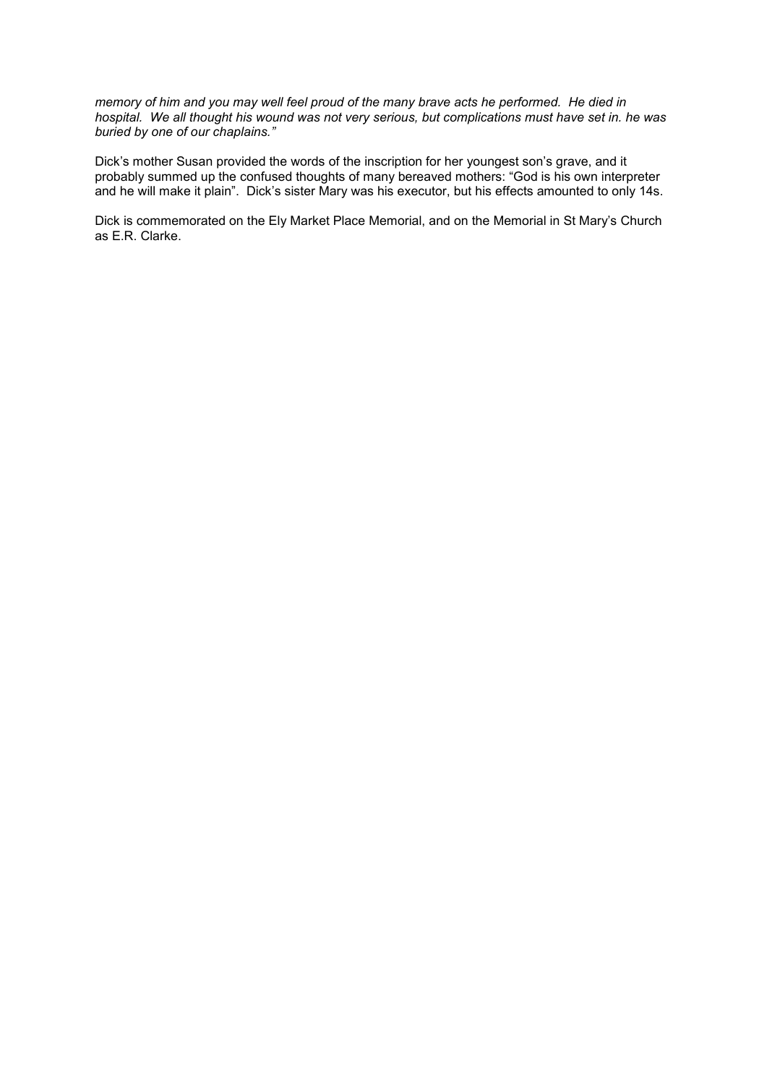*memory of him and you may well feel proud of the many brave acts he performed. He died in hospital. We all thought his wound was not very serious, but complications must have set in. he was buried by one of our chaplains."*

Dick's mother Susan provided the words of the inscription for her youngest son's grave, and it probably summed up the confused thoughts of many bereaved mothers: "God is his own interpreter and he will make it plain". Dick's sister Mary was his executor, but his effects amounted to only 14s.

Dick is commemorated on the Ely Market Place Memorial, and on the Memorial in St Mary's Church as E.R. Clarke.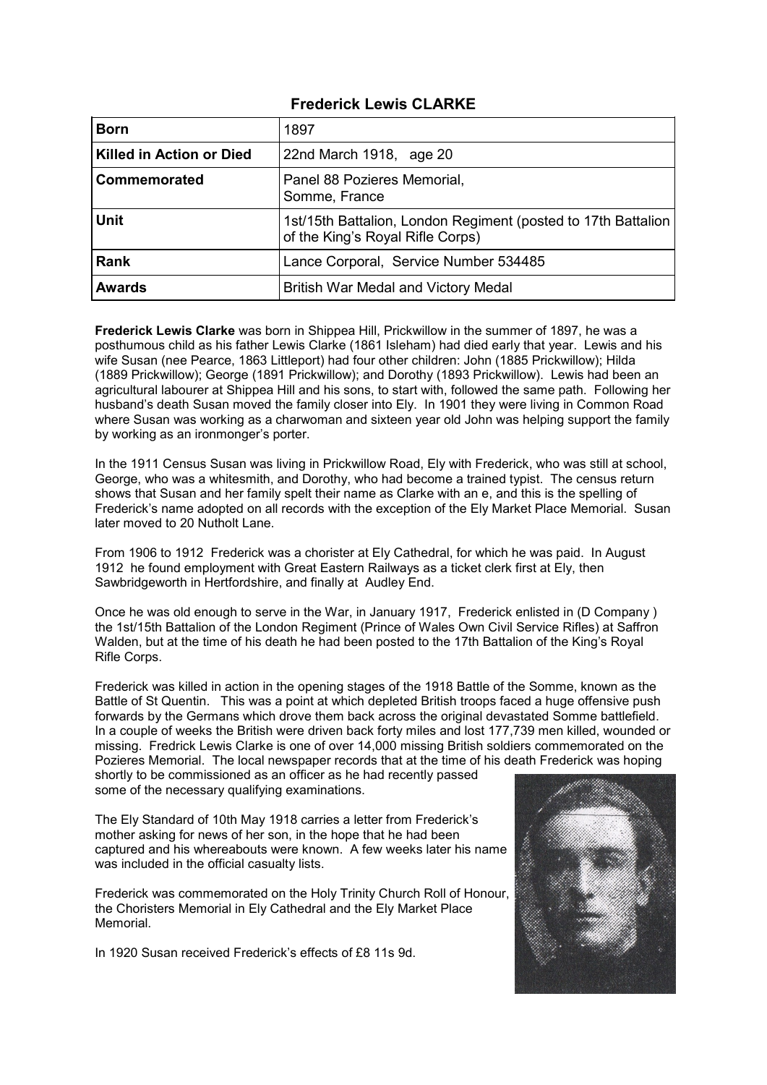### **Frederick Lewis CLARKE**

| <b>Born</b>              | 1897                                                                                              |  |
|--------------------------|---------------------------------------------------------------------------------------------------|--|
| Killed in Action or Died | 22nd March 1918, age 20                                                                           |  |
| Commemorated             | Panel 88 Pozieres Memorial,<br>Somme, France                                                      |  |
| <b>Unit</b>              | 1st/15th Battalion, London Regiment (posted to 17th Battalion<br>of the King's Royal Rifle Corps) |  |
| <b>Rank</b>              | Lance Corporal, Service Number 534485                                                             |  |
| <b>Awards</b>            | British War Medal and Victory Medal                                                               |  |

**Frederick Lewis Clarke** was born in Shippea Hill, Prickwillow in the summer of 1897, he was a posthumous child as his father Lewis Clarke (1861 Isleham) had died early that year. Lewis and his wife Susan (nee Pearce, 1863 Littleport) had four other children: John (1885 Prickwillow); Hilda (1889 Prickwillow); George (1891 Prickwillow); and Dorothy (1893 Prickwillow). Lewis had been an agricultural labourer at Shippea Hill and his sons, to start with, followed the same path. Following her husband's death Susan moved the family closer into Ely. In 1901 they were living in Common Road where Susan was working as a charwoman and sixteen year old John was helping support the family by working as an ironmonger's porter.

In the 1911 Census Susan was living in Prickwillow Road, Ely with Frederick, who was still at school, George, who was a whitesmith, and Dorothy, who had become a trained typist. The census return shows that Susan and her family spelt their name as Clarke with an e, and this is the spelling of Frederick's name adopted on all records with the exception of the Ely Market Place Memorial. Susan later moved to 20 Nutholt Lane.

From 1906 to 1912 Frederick was a chorister at Ely Cathedral, for which he was paid. In August 1912 he found employment with Great Eastern Railways as a ticket clerk first at Ely, then Sawbridgeworth in Hertfordshire, and finally at Audley End.

Once he was old enough to serve in the War, in January 1917, Frederick enlisted in (D Company ) the 1st/15th Battalion of the London Regiment (Prince of Wales Own Civil Service Rifles) at Saffron Walden, but at the time of his death he had been posted to the 17th Battalion of the King's Royal Rifle Corps.

Frederick was killed in action in the opening stages of the 1918 Battle of the Somme, known as the Battle of St Quentin. This was a point at which depleted British troops faced a huge offensive push forwards by the Germans which drove them back across the original devastated Somme battlefield. In a couple of weeks the British were driven back forty miles and lost 177,739 men killed, wounded or missing. Fredrick Lewis Clarke is one of over 14,000 missing British soldiers commemorated on the Pozieres Memorial. The local newspaper records that at the time of his death Frederick was hoping

shortly to be commissioned as an officer as he had recently passed some of the necessary qualifying examinations.

The Ely Standard of 10th May 1918 carries a letter from Frederick's mother asking for news of her son, in the hope that he had been captured and his whereabouts were known. A few weeks later his name was included in the official casualty lists.

Frederick was commemorated on the Holy Trinity Church Roll of Honour, the Choristers Memorial in Ely Cathedral and the Ely Market Place Memorial.

In 1920 Susan received Frederick's effects of £8 11s 9d.

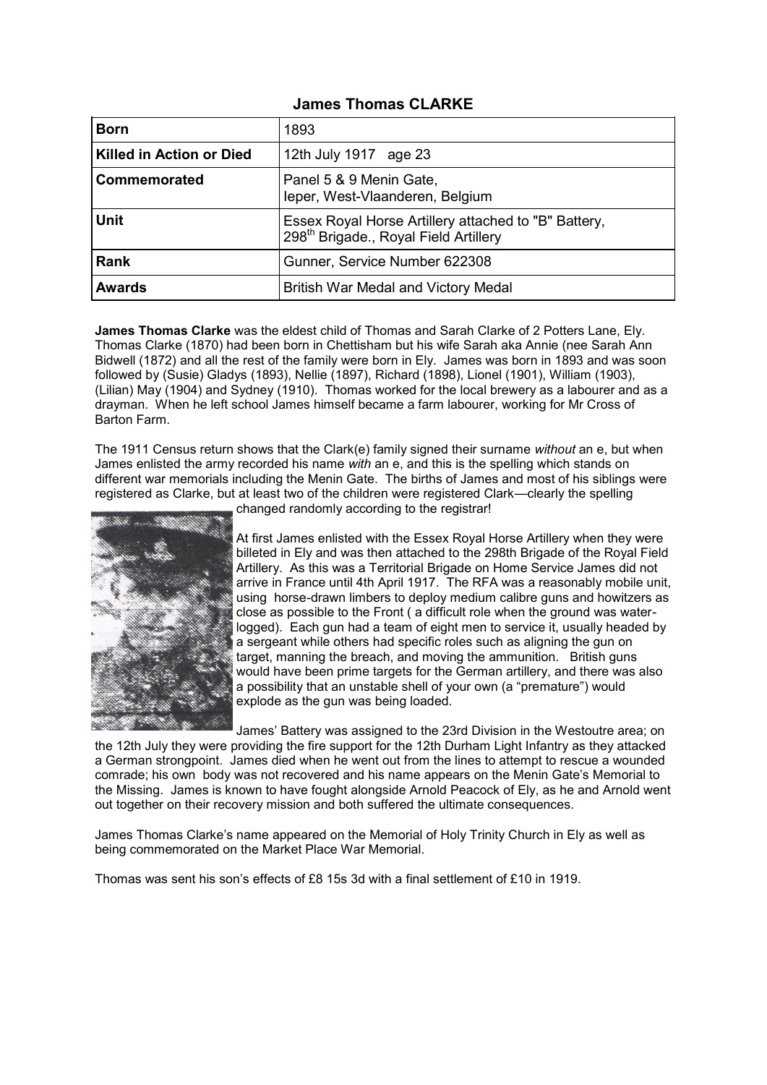#### **James Thomas CLARKE**

| <b>Born</b>              | 1893                                                                                                      |  |
|--------------------------|-----------------------------------------------------------------------------------------------------------|--|
| Killed in Action or Died | 12th July 1917 age 23                                                                                     |  |
| Commemorated             | Panel 5 & 9 Menin Gate,<br>leper, West-Vlaanderen, Belgium                                                |  |
| <b>Unit</b>              | Essex Royal Horse Artillery attached to "B" Battery,<br>298 <sup>th</sup> Brigade., Royal Field Artillery |  |
| <b>Rank</b>              | Gunner, Service Number 622308                                                                             |  |
| <b>Awards</b>            | British War Medal and Victory Medal                                                                       |  |

**James Thomas Clarke** was the eldest child of Thomas and Sarah Clarke of 2 Potters Lane, Ely. Thomas Clarke (1870) had been born in Chettisham but his wife Sarah aka Annie (nee Sarah Ann Bidwell (1872) and all the rest of the family were born in Ely. James was born in 1893 and was soon followed by (Susie) Gladys (1893), Nellie (1897), Richard (1898), Lionel (1901), William (1903), (Lilian) May (1904) and Sydney (1910). Thomas worked for the local brewery as a labourer and as a drayman. When he left school James himself became a farm labourer, working for Mr Cross of Barton Farm.

The 1911 Census return shows that the Clark(e) family signed their surname *without* an e, but when James enlisted the army recorded his name *with* an e, and this is the spelling which stands on different war memorials including the Menin Gate. The births of James and most of his siblings were registered as Clarke, but at least two of the children were registered Clark—clearly the spelling



changed randomly according to the registrar!

At first James enlisted with the Essex Royal Horse Artillery when they were billeted in Ely and was then attached to the 298th Brigade of the Royal Field Artillery. As this was a Territorial Brigade on Home Service James did not arrive in France until 4th April 1917. The RFA was a reasonably mobile unit, using horse-drawn limbers to deploy medium calibre guns and howitzers as close as possible to the Front ( a difficult role when the ground was waterlogged). Each gun had a team of eight men to service it, usually headed by a sergeant while others had specific roles such as aligning the gun on target, manning the breach, and moving the ammunition. British guns would have been prime targets for the German artillery, and there was also a possibility that an unstable shell of your own (a "premature") would explode as the gun was being loaded.

James' Battery was assigned to the 23rd Division in the Westoutre area; on the 12th July they were providing the fire support for the 12th Durham Light Infantry as they attacked a German strongpoint. James died when he went out from the lines to attempt to rescue a wounded comrade; his own body was not recovered and his name appears on the Menin Gate's Memorial to the Missing. James is known to have fought alongside Arnold Peacock of Ely, as he and Arnold went out together on their recovery mission and both suffered the ultimate consequences.

James Thomas Clarke's name appeared on the Memorial of Holy Trinity Church in Ely as well as being commemorated on the Market Place War Memorial.

Thomas was sent his son's effects of £8 15s 3d with a final settlement of £10 in 1919.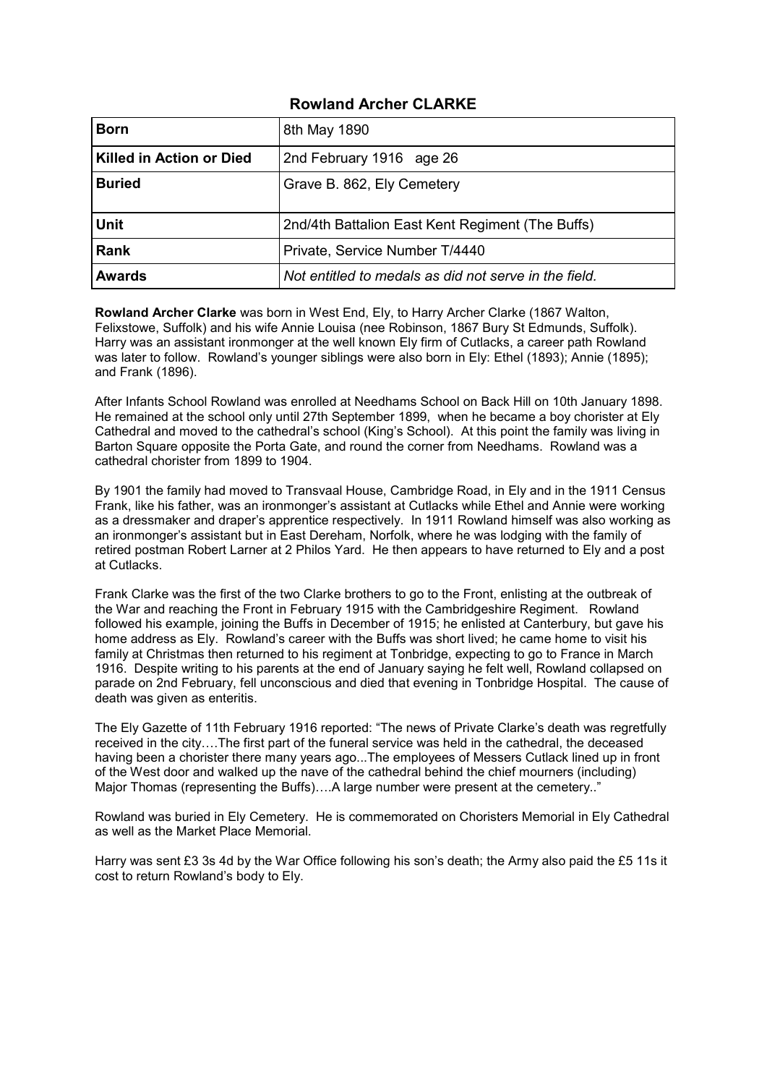## **Rowland Archer CLARKE**

| <b>Born</b>              | 8th May 1890                                          |  |
|--------------------------|-------------------------------------------------------|--|
| Killed in Action or Died | 2nd February 1916 age 26                              |  |
| <b>Buried</b>            | Grave B. 862, Ely Cemetery                            |  |
| <b>Unit</b>              | 2nd/4th Battalion East Kent Regiment (The Buffs)      |  |
| <b>Rank</b>              | Private, Service Number T/4440                        |  |
| <b>Awards</b>            | Not entitled to medals as did not serve in the field. |  |

**Rowland Archer Clarke** was born in West End, Ely, to Harry Archer Clarke (1867 Walton, Felixstowe, Suffolk) and his wife Annie Louisa (nee Robinson, 1867 Bury St Edmunds, Suffolk). Harry was an assistant ironmonger at the well known Ely firm of Cutlacks, a career path Rowland was later to follow. Rowland's younger siblings were also born in Ely: Ethel (1893); Annie (1895); and Frank (1896).

After Infants School Rowland was enrolled at Needhams School on Back Hill on 10th January 1898. He remained at the school only until 27th September 1899, when he became a boy chorister at Ely Cathedral and moved to the cathedral's school (King's School). At this point the family was living in Barton Square opposite the Porta Gate, and round the corner from Needhams. Rowland was a cathedral chorister from 1899 to 1904.

By 1901 the family had moved to Transvaal House, Cambridge Road, in Ely and in the 1911 Census Frank, like his father, was an ironmonger's assistant at Cutlacks while Ethel and Annie were working as a dressmaker and draper's apprentice respectively. In 1911 Rowland himself was also working as an ironmonger's assistant but in East Dereham, Norfolk, where he was lodging with the family of retired postman Robert Larner at 2 Philos Yard. He then appears to have returned to Ely and a post at Cutlacks.

Frank Clarke was the first of the two Clarke brothers to go to the Front, enlisting at the outbreak of the War and reaching the Front in February 1915 with the Cambridgeshire Regiment. Rowland followed his example, joining the Buffs in December of 1915; he enlisted at Canterbury, but gave his home address as Ely. Rowland's career with the Buffs was short lived; he came home to visit his family at Christmas then returned to his regiment at Tonbridge, expecting to go to France in March 1916. Despite writing to his parents at the end of January saying he felt well, Rowland collapsed on parade on 2nd February, fell unconscious and died that evening in Tonbridge Hospital. The cause of death was given as enteritis.

The Ely Gazette of 11th February 1916 reported: "The news of Private Clarke's death was regretfully received in the city….The first part of the funeral service was held in the cathedral, the deceased having been a chorister there many years ago...The employees of Messers Cutlack lined up in front of the West door and walked up the nave of the cathedral behind the chief mourners (including) Major Thomas (representing the Buffs)….A large number were present at the cemetery.."

Rowland was buried in Ely Cemetery. He is commemorated on Choristers Memorial in Ely Cathedral as well as the Market Place Memorial.

Harry was sent £3 3s 4d by the War Office following his son's death; the Army also paid the £5 11s it cost to return Rowland's body to Ely.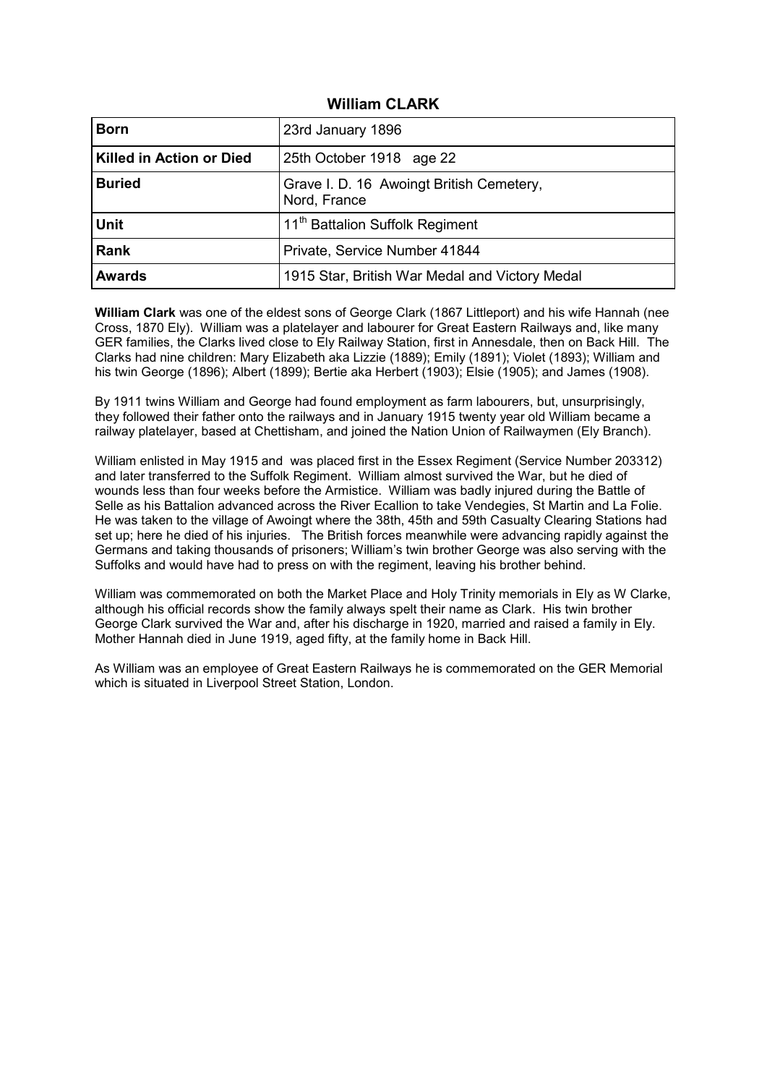### **William CLARK**

| <b>Born</b>              | 23rd January 1896                                        |  |
|--------------------------|----------------------------------------------------------|--|
| Killed in Action or Died | 25th October 1918 age 22                                 |  |
| <b>Buried</b>            | Grave I. D. 16 Awoingt British Cemetery,<br>Nord, France |  |
| <b>Unit</b>              | 11 <sup>th</sup> Battalion Suffolk Regiment              |  |
| <b>Rank</b>              | Private, Service Number 41844                            |  |
| <b>Awards</b>            | 1915 Star, British War Medal and Victory Medal           |  |

**William Clark** was one of the eldest sons of George Clark (1867 Littleport) and his wife Hannah (nee Cross, 1870 Ely). William was a platelayer and labourer for Great Eastern Railways and, like many GER families, the Clarks lived close to Ely Railway Station, first in Annesdale, then on Back Hill. The Clarks had nine children: Mary Elizabeth aka Lizzie (1889); Emily (1891); Violet (1893); William and his twin George (1896); Albert (1899); Bertie aka Herbert (1903); Elsie (1905); and James (1908).

By 1911 twins William and George had found employment as farm labourers, but, unsurprisingly, they followed their father onto the railways and in January 1915 twenty year old William became a railway platelayer, based at Chettisham, and joined the Nation Union of Railwaymen (Ely Branch).

William enlisted in May 1915 and was placed first in the Essex Regiment (Service Number 203312) and later transferred to the Suffolk Regiment. William almost survived the War, but he died of wounds less than four weeks before the Armistice. William was badly injured during the Battle of Selle as his Battalion advanced across the River Ecallion to take Vendegies, St Martin and La Folie. He was taken to the village of Awoingt where the 38th, 45th and 59th Casualty Clearing Stations had set up; here he died of his injuries. The British forces meanwhile were advancing rapidly against the Germans and taking thousands of prisoners; William's twin brother George was also serving with the Suffolks and would have had to press on with the regiment, leaving his brother behind.

William was commemorated on both the Market Place and Holy Trinity memorials in Ely as W Clarke, although his official records show the family always spelt their name as Clark. His twin brother George Clark survived the War and, after his discharge in 1920, married and raised a family in Ely. Mother Hannah died in June 1919, aged fifty, at the family home in Back Hill.

As William was an employee of Great Eastern Railways he is commemorated on the GER Memorial which is situated in Liverpool Street Station, London.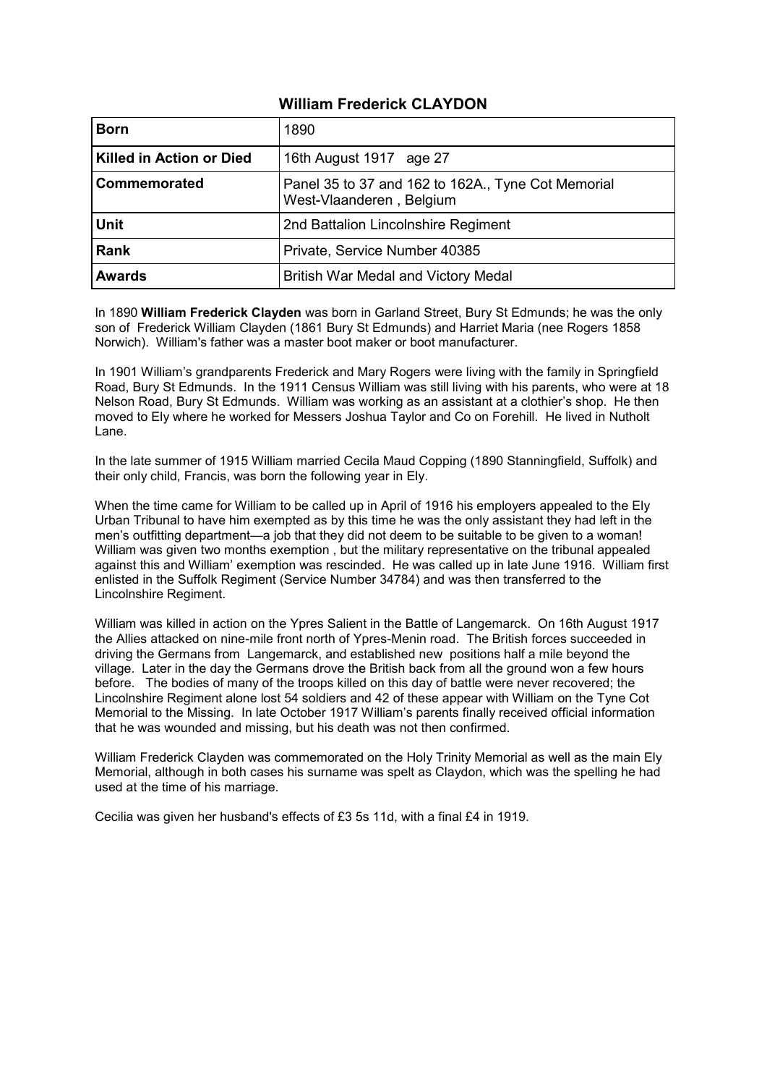## **William Frederick CLAYDON**

| <b>Born</b>                     | 1890                                                                           |  |
|---------------------------------|--------------------------------------------------------------------------------|--|
| <b>Killed in Action or Died</b> | 16th August 1917 age 27                                                        |  |
| Commemorated                    | Panel 35 to 37 and 162 to 162A., Tyne Cot Memorial<br>West-Vlaanderen, Belgium |  |
| <b>Unit</b>                     | 2nd Battalion Lincolnshire Regiment                                            |  |
| <b>Rank</b>                     | Private, Service Number 40385                                                  |  |
| <b>Awards</b>                   | British War Medal and Victory Medal                                            |  |

In 1890 **William Frederick Clayden** was born in Garland Street, Bury St Edmunds; he was the only son of Frederick William Clayden (1861 Bury St Edmunds) and Harriet Maria (nee Rogers 1858 Norwich). William's father was a master boot maker or boot manufacturer.

In 1901 William's grandparents Frederick and Mary Rogers were living with the family in Springfield Road, Bury St Edmunds. In the 1911 Census William was still living with his parents, who were at 18 Nelson Road, Bury St Edmunds. William was working as an assistant at a clothier's shop. He then moved to Ely where he worked for Messers Joshua Taylor and Co on Forehill. He lived in Nutholt Lane.

In the late summer of 1915 William married Cecila Maud Copping (1890 Stanningfield, Suffolk) and their only child, Francis, was born the following year in Ely.

When the time came for William to be called up in April of 1916 his employers appealed to the Ely Urban Tribunal to have him exempted as by this time he was the only assistant they had left in the men's outfitting department—a job that they did not deem to be suitable to be given to a woman! William was given two months exemption , but the military representative on the tribunal appealed against this and William' exemption was rescinded. He was called up in late June 1916. William first enlisted in the Suffolk Regiment (Service Number 34784) and was then transferred to the Lincolnshire Regiment.

William was killed in action on the Ypres Salient in the Battle of Langemarck. On 16th August 1917 the Allies attacked on nine-mile front north of Ypres-Menin road. The British forces succeeded in driving the Germans from Langemarck, and established new positions half a mile beyond the village. Later in the day the Germans drove the British back from all the ground won a few hours before. The bodies of many of the troops killed on this day of battle were never recovered; the Lincolnshire Regiment alone lost 54 soldiers and 42 of these appear with William on the Tyne Cot Memorial to the Missing. In late October 1917 William's parents finally received official information that he was wounded and missing, but his death was not then confirmed.

William Frederick Clayden was commemorated on the Holy Trinity Memorial as well as the main Ely Memorial, although in both cases his surname was spelt as Claydon, which was the spelling he had used at the time of his marriage.

Cecilia was given her husband's effects of £3 5s 11d, with a final £4 in 1919.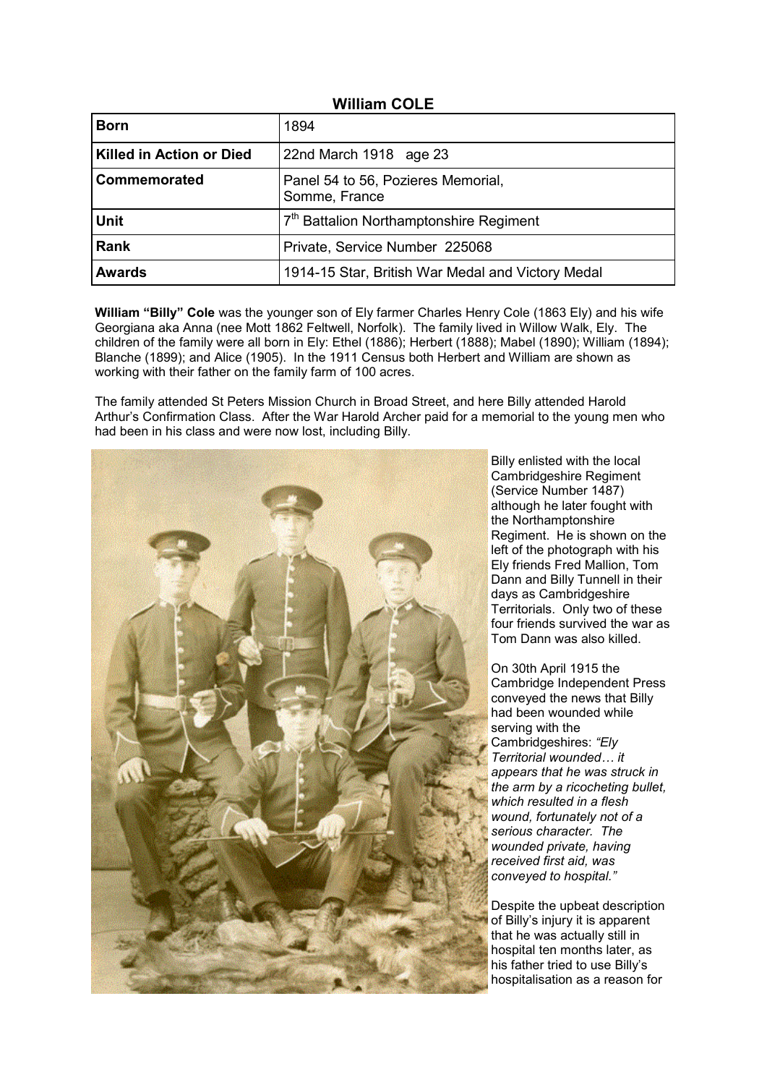| <b>William COLE</b> |  |
|---------------------|--|
|---------------------|--|

| <b>Born</b>                     | 1894                                                |
|---------------------------------|-----------------------------------------------------|
| <b>Killed in Action or Died</b> | 22nd March 1918 age 23                              |
| Commemorated                    | Panel 54 to 56, Pozieres Memorial,<br>Somme, France |
| <b>Unit</b>                     | 7 <sup>th</sup> Battalion Northamptonshire Regiment |
| Rank                            | Private, Service Number 225068                      |
| <b>Awards</b>                   | 1914-15 Star, British War Medal and Victory Medal   |

**William "Billy" Cole** was the younger son of Ely farmer Charles Henry Cole (1863 Ely) and his wife Georgiana aka Anna (nee Mott 1862 Feltwell, Norfolk). The family lived in Willow Walk, Ely. The children of the family were all born in Ely: Ethel (1886); Herbert (1888); Mabel (1890); William (1894); Blanche (1899); and Alice (1905). In the 1911 Census both Herbert and William are shown as working with their father on the family farm of 100 acres.

The family attended St Peters Mission Church in Broad Street, and here Billy attended Harold Arthur's Confirmation Class. After the War Harold Archer paid for a memorial to the young men who had been in his class and were now lost, including Billy.



Billy enlisted with the local Cambridgeshire Regiment (Service Number 1487) although he later fought with the Northamptonshire Regiment. He is shown on the left of the photograph with his Ely friends Fred Mallion, Tom Dann and Billy Tunnell in their days as Cambridgeshire Territorials. Only two of these four friends survived the war as Tom Dann was also killed.

On 30th April 1915 the Cambridge Independent Press conveyed the news that Billy had been wounded while serving with the Cambridgeshires: *"Ely Territorial wounded… it appears that he was struck in the arm by a ricocheting bullet, which resulted in a flesh wound, fortunately not of a serious character. The wounded private, having received first aid, was conveyed to hospital."*

Despite the upbeat description of Billy's injury it is apparent that he was actually still in hospital ten months later, as his father tried to use Billy's hospitalisation as a reason for